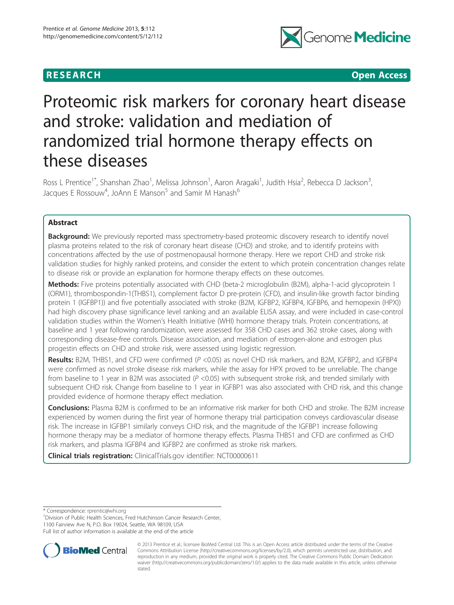## **RESEARCH CHILD CONTROL** CONTROL CONTROL CONTROL CONTROL CONTROL CONTROL CONTROL CONTROL CONTROL CONTROL CONTROL CONTROL CONTROL CONTROL CONTROL CONTROL CONTROL CONTROL CONTROL CONTROL CONTROL CONTROL CONTROL CONTROL CONTR



# Proteomic risk markers for coronary heart disease and stroke: validation and mediation of randomized trial hormone therapy effects on these diseases

Ross L Prentice<sup>1\*</sup>, Shanshan Zhao<sup>1</sup>, Melissa Johnson<sup>1</sup>, Aaron Aragaki<sup>1</sup>, Judith Hsia<sup>2</sup>, Rebecca D Jackson<sup>3</sup> , Jacques E Rossouw<sup>4</sup>, JoAnn E Manson<sup>5</sup> and Samir M Hanash<sup>6</sup>

## Abstract

Background: We previously reported mass spectrometry-based proteomic discovery research to identify novel plasma proteins related to the risk of coronary heart disease (CHD) and stroke, and to identify proteins with concentrations affected by the use of postmenopausal hormone therapy. Here we report CHD and stroke risk validation studies for highly ranked proteins, and consider the extent to which protein concentration changes relate to disease risk or provide an explanation for hormone therapy effects on these outcomes.

Methods: Five proteins potentially associated with CHD (beta-2 microglobulin (B2M), alpha-1-acid glycoprotein 1 (ORM1), thrombospondin-1(THBS1), complement factor D pre-protein (CFD), and insulin-like growth factor binding protein 1 (IGFBP1)) and five potentially associated with stroke (B2M, IGFBP2, IGFBP4, IGFBP6, and hemopexin (HPX)) had high discovery phase significance level ranking and an available ELISA assay, and were included in case-control validation studies within the Women's Health Initiative (WHI) hormone therapy trials. Protein concentrations, at baseline and 1 year following randomization, were assessed for 358 CHD cases and 362 stroke cases, along with corresponding disease-free controls. Disease association, and mediation of estrogen-alone and estrogen plus progestin effects on CHD and stroke risk, were assessed using logistic regression.

Results: B2M, THBS1, and CFD were confirmed (P <0.05) as novel CHD risk markers, and B2M, IGFBP2, and IGFBP4 were confirmed as novel stroke disease risk markers, while the assay for HPX proved to be unreliable. The change from baseline to 1 year in B2M was associated  $(P < 0.05)$  with subsequent stroke risk, and trended similarly with subsequent CHD risk. Change from baseline to 1 year in IGFBP1 was also associated with CHD risk, and this change provided evidence of hormone therapy effect mediation.

Conclusions: Plasma B2M is confirmed to be an informative risk marker for both CHD and stroke. The B2M increase experienced by women during the first year of hormone therapy trial participation conveys cardiovascular disease risk. The increase in IGFBP1 similarly conveys CHD risk, and the magnitude of the IGFBP1 increase following hormone therapy may be a mediator of hormone therapy effects. Plasma THBS1 and CFD are confirmed as CHD risk markers, and plasma IGFBP4 and IGFBP2 are confirmed as stroke risk markers.

Clinical trials registration: ClinicalTrials.gov identifier: [NCT00000611](http://clinicaltrials.gov/ct2/show/NCT00000611?term=women%27s+health+initiative&rank=5)

\* Correspondence: [rprentic@whi.org](mailto:rprentic@whi.org) <sup>1</sup>

<sup>1</sup> Division of Public Health Sciences, Fred Hutchinson Cancer Research Center,

1100 Fairview Ave N, P.O. Box 19024, Seattle, WA 98109, USA

Full list of author information is available at the end of the article



<sup>© 2013</sup> Prentice et al.; licensee BioMed Central Ltd. This is an Open Access article distributed under the terms of the Creative Commons Attribution License [\(http://creativecommons.org/licenses/by/2.0\)](http://creativecommons.org/licenses/by/2.0), which permits unrestricted use, distribution, and reproduction in any medium, provided the original work is properly cited. The Creative Commons Public Domain Dedication waiver [\(http://creativecommons.org/publicdomain/zero/1.0/\)](http://creativecommons.org/publicdomain/zero/1.0/) applies to the data made available in this article, unless otherwise stated.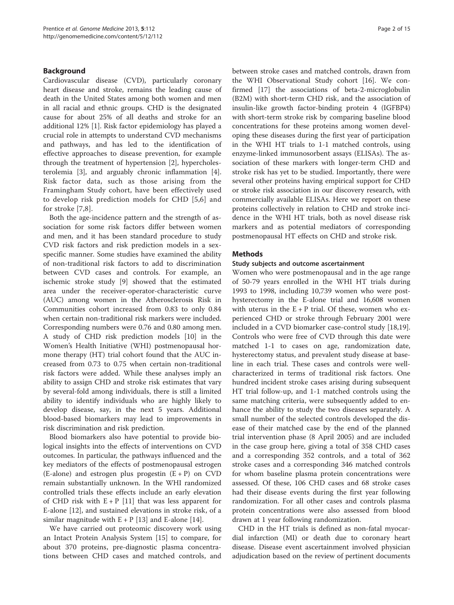## Background

Cardiovascular disease (CVD), particularly coronary heart disease and stroke, remains the leading cause of death in the United States among both women and men in all racial and ethnic groups. CHD is the designated cause for about 25% of all deaths and stroke for an additional 12% [\[1\]](#page-13-0). Risk factor epidemiology has played a crucial role in attempts to understand CVD mechanisms and pathways, and has led to the identification of effective approaches to disease prevention, for example through the treatment of hypertension [\[2](#page-13-0)], hypercholesterolemia [[3\]](#page-13-0), and arguably chronic inflammation [\[4](#page-13-0)]. Risk factor data, such as those arising from the Framingham Study cohort, have been effectively used to develop risk prediction models for CHD [[5,6\]](#page-13-0) and for stroke [[7,8](#page-13-0)].

Both the age-incidence pattern and the strength of association for some risk factors differ between women and men, and it has been standard procedure to study CVD risk factors and risk prediction models in a sexspecific manner. Some studies have examined the ability of non-traditional risk factors to add to discrimination between CVD cases and controls. For example, an ischemic stroke study [\[9\]](#page-13-0) showed that the estimated area under the receiver-operator-characteristic curve (AUC) among women in the Atherosclerosis Risk in Communities cohort increased from 0.83 to only 0.84 when certain non-traditional risk markers were included. Corresponding numbers were 0.76 and 0.80 among men. A study of CHD risk prediction models [\[10\]](#page-13-0) in the Women's Health Initiative (WHI) postmenopausal hormone therapy (HT) trial cohort found that the AUC increased from 0.73 to 0.75 when certain non-traditional risk factors were added. While these analyses imply an ability to assign CHD and stroke risk estimates that vary by several-fold among individuals, there is still a limited ability to identify individuals who are highly likely to develop disease, say, in the next 5 years. Additional blood-based biomarkers may lead to improvements in risk discrimination and risk prediction.

Blood biomarkers also have potential to provide biological insights into the effects of interventions on CVD outcomes. In particular, the pathways influenced and the key mediators of the effects of postmenopausal estrogen  $(E$ -alone) and estrogen plus progestin  $(E + P)$  on CVD remain substantially unknown. In the WHI randomized controlled trials these effects include an early elevation of CHD risk with  $E + P$  [[11](#page-13-0)] that was less apparent for E-alone [[12\]](#page-13-0), and sustained elevations in stroke risk, of a similar magnitude with  $E + P$  [\[13](#page-13-0)] and E-alone [\[14](#page-13-0)].

We have carried out proteomic discovery work using an Intact Protein Analysis System [\[15](#page-13-0)] to compare, for about 370 proteins, pre-diagnostic plasma concentrations between CHD cases and matched controls, and between stroke cases and matched controls, drawn from the WHI Observational Study cohort [\[16](#page-13-0)]. We confirmed [[17\]](#page-13-0) the associations of beta-2-microglobulin (B2M) with short-term CHD risk, and the association of insulin-like growth factor-binding protein 4 (IGFBP4) with short-term stroke risk by comparing baseline blood concentrations for these proteins among women developing these diseases during the first year of participation in the WHI HT trials to 1-1 matched controls, using enzyme-linked immunosorbent assays (ELISAs). The association of these markers with longer-term CHD and stroke risk has yet to be studied. Importantly, there were several other proteins having empirical support for CHD or stroke risk association in our discovery research, with commercially available ELISAs. Here we report on these proteins collectively in relation to CHD and stroke incidence in the WHI HT trials, both as novel disease risk markers and as potential mediators of corresponding postmenopausal HT effects on CHD and stroke risk.

## Methods

## Study subjects and outcome ascertainment

Women who were postmenopausal and in the age range of 50-79 years enrolled in the WHI HT trials during 1993 to 1998, including 10,739 women who were posthysterectomy in the E-alone trial and 16,608 women with uterus in the  $E + P$  trial. Of these, women who experienced CHD or stroke through February 2001 were included in a CVD biomarker case-control study [\[18,19](#page-13-0)]. Controls who were free of CVD through this date were matched 1-1 to cases on age, randomization date, hysterectomy status, and prevalent study disease at baseline in each trial. These cases and controls were wellcharacterized in terms of traditional risk factors. One hundred incident stroke cases arising during subsequent HT trial follow-up, and 1-1 matched controls using the same matching criteria, were subsequently added to enhance the ability to study the two diseases separately. A small number of the selected controls developed the disease of their matched case by the end of the planned trial intervention phase (8 April 2005) and are included in the case group here, giving a total of 358 CHD cases and a corresponding 352 controls, and a total of 362 stroke cases and a corresponding 346 matched controls for whom baseline plasma protein concentrations were assessed. Of these, 106 CHD cases and 68 stroke cases had their disease events during the first year following randomization. For all other cases and controls plasma protein concentrations were also assessed from blood drawn at 1 year following randomization.

CHD in the HT trials is defined as non-fatal myocardial infarction (MI) or death due to coronary heart disease. Disease event ascertainment involved physician adjudication based on the review of pertinent documents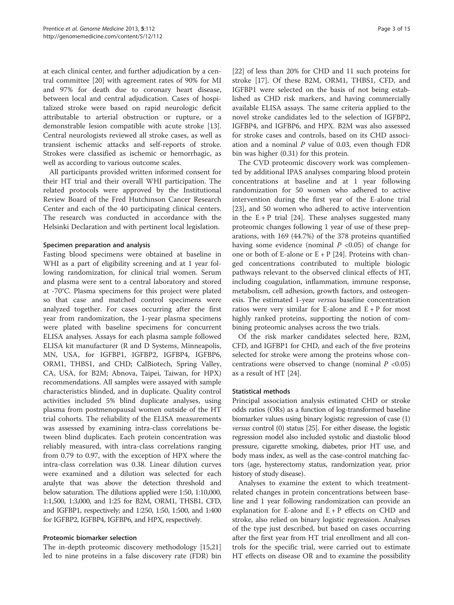at each clinical center, and further adjudication by a central committee [\[20](#page-13-0)] with agreement rates of 90% for MI and 97% for death due to coronary heart disease, between local and central adjudication. Cases of hospitalized stroke were based on rapid neurologic deficit attributable to arterial obstruction or rupture, or a demonstrable lesion compatible with acute stroke [\[13](#page-13-0)]. Central neurologists reviewed all stroke cases, as well as transient ischemic attacks and self-reports of stroke. Strokes were classified as ischemic or hemorrhagic, as well as according to various outcome scales.

All participants provided written informed consent for their HT trial and their overall WHI participation. The related protocols were approved by the Institutional Review Board of the Fred Hutchinson Cancer Research Center and each of the 40 participating clinical centers. The research was conducted in accordance with the Helsinki Declaration and with pertinent local legislation.

## Specimen preparation and analysis

Fasting blood specimens were obtained at baseline in WHI as a part of eligibility screening and at 1 year following randomization, for clinical trial women. Serum and plasma were sent to a central laboratory and stored at -70°C. Plasma specimens for this project were plated so that case and matched control specimens were analyzed together. For cases occurring after the first year from randomization, the 1-year plasma specimens were plated with baseline specimens for concurrent ELISA analyses. Assays for each plasma sample followed ELISA kit manufacturer (R and D Systems, Minneapolis, MN, USA, for IGFBP1, IGFBP2, IGFBP4, IGFBP6, ORM1, THBS1, and CHD; CalBiotech, Spring Valley, CA, USA, for B2M; Abnova, Taipei, Taiwan, for HPX) recommendations. All samples were assayed with sample characteristics blinded, and in duplicate. Quality control activities included 5% blind duplicate analyses, using plasma from postmenopausal women outside of the HT trial cohorts. The reliability of the ELISA measurements was assessed by examining intra-class correlations between blind duplicates. Each protein concentration was reliably measured, with intra-class correlations ranging from 0.79 to 0.97, with the exception of HPX where the intra-class correlation was 0.38. Linear dilution curves were examined and a dilution was selected for each analyte that was above the detection threshold and below saturation. The dilutions applied were 1:50, 1:10,000, 1:1,500, 1:3,000, and 1:25 for B2M, ORM1, THSB1, CFD, and IGFBP1, respectively; and 1:250, 1:50, 1:500, and 1:400 for IGFBP2, IGFBP4, IGFBP6, and HPX, respectively.

#### Proteomic biomarker selection

The in-depth proteomic discovery methodology [[15](#page-13-0),[21](#page-13-0)] led to nine proteins in a false discovery rate (FDR) bin

[[22\]](#page-14-0) of less than 20% for CHD and 11 such proteins for stroke [[17\]](#page-13-0). Of these B2M, ORM1, THBS1, CFD, and IGFBP1 were selected on the basis of not being established as CHD risk markers, and having commercially available ELISA assays. The same criteria applied to the novel stroke candidates led to the selection of IGFBP2, IGFBP4, and IGFBP6, and HPX. B2M was also assessed for stroke cases and controls, based on its CHD association and a nominal  $P$  value of 0.03, even though FDR bin was higher (0.31) for this protein.

The CVD proteomic discovery work was complemented by additional IPAS analyses comparing blood protein concentrations at baseline and at 1 year following randomization for 50 women who adhered to active intervention during the first year of the E-alone trial [[23\]](#page-14-0), and 50 women who adhered to active intervention in the  $E + P$  trial [[24\]](#page-14-0). These analyses suggested many proteomic changes following 1 year of use of these preparations, with 169 (44.7%) of the 378 proteins quantified having some evidence (nominal  $P \leq 0.05$ ) of change for one or both of E-alone or  $E + P$  [[24\]](#page-14-0). Proteins with changed concentrations contributed to multiple biologic pathways relevant to the observed clinical effects of HT, including coagulation, inflammation, immune response, metabolism, cell adhesion, growth factors, and osteogenesis. The estimated 1-year versus baseline concentration ratios were very similar for E-alone and  $E + P$  for most highly ranked proteins, supporting the notion of combining proteomic analyses across the two trials.

Of the risk marker candidates selected here, B2M, CFD, and IGFBP1 for CHD, and each of the five proteins selected for stroke were among the proteins whose concentrations were observed to change (nominal  $P < 0.05$ ) as a result of HT [\[24](#page-14-0)].

## Statistical methods

Principal association analysis estimated CHD or stroke odds ratios (ORs) as a function of log-transformed baseline biomarker values using binary logistic regression of case (1) versus control (0) status [\[25\]](#page-14-0). For either disease, the logistic regression model also included systolic and diastolic blood pressure, cigarette smoking, diabetes, prior HT use, and body mass index, as well as the case-control matching factors (age, hysterectomy status, randomization year, prior history of study disease).

Analyses to examine the extent to which treatmentrelated changes in protein concentrations between baseline and 1 year following randomization can provide an explanation for E-alone and  $E + P$  effects on CHD and stroke, also relied on binary logistic regression. Analyses of the type just described, but based on cases occurring after the first year from HT trial enrollment and all controls for the specific trial, were carried out to estimate HT effects on disease OR and to examine the possibility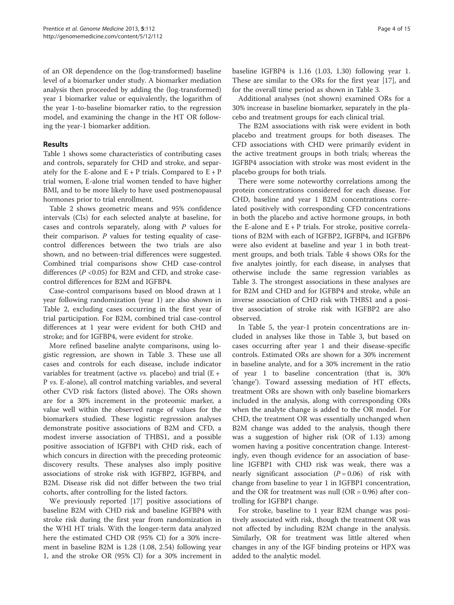of an OR dependence on the (log-transformed) baseline level of a biomarker under study. A biomarker mediation analysis then proceeded by adding the (log-transformed) year 1 biomarker value or equivalently, the logarithm of the year 1-to-baseline biomarker ratio, to the regression model, and examining the change in the HT OR following the year-1 biomarker addition.

## Results

Table [1](#page-4-0) shows some characteristics of contributing cases and controls, separately for CHD and stroke, and separately for the E-alone and  $E + P$  trials. Compared to  $E + P$ trial women, E-alone trial women tended to have higher BMI, and to be more likely to have used postmenopausal hormones prior to trial enrollment.

Table [2](#page-6-0) shows geometric means and 95% confidence intervals (CIs) for each selected analyte at baseline, for cases and controls separately, along with P values for their comparison.  $P$  values for testing equality of casecontrol differences between the two trials are also shown, and no between-trial differences were suggested. Combined trial comparisons show CHD case-control differences  $(P \le 0.05)$  for B2M and CFD, and stroke casecontrol differences for B2M and IGFBP4.

Case-control comparisons based on blood drawn at 1 year following randomization (year 1) are also shown in Table [2,](#page-6-0) excluding cases occurring in the first year of trial participation. For B2M, combined trial case-control differences at 1 year were evident for both CHD and stroke; and for IGFBP4, were evident for stroke.

More refined baseline analyte comparisons, using logistic regression, are shown in Table [3.](#page-8-0) These use all cases and controls for each disease, include indicator variables for treatment (active *vs.* placebo) and trial  $(E +$ P vs. E-alone), all control matching variables, and several other CVD risk factors (listed above). The ORs shown are for a 30% increment in the proteomic marker, a value well within the observed range of values for the biomarkers studied. These logistic regression analyses demonstrate positive associations of B2M and CFD, a modest inverse association of THBS1, and a possible positive association of IGFBP1 with CHD risk, each of which concurs in direction with the preceding proteomic discovery results. These analyses also imply positive associations of stroke risk with IGFBP2, IGFBP4, and B2M. Disease risk did not differ between the two trial cohorts, after controlling for the listed factors.

We previously reported [\[17\]](#page-13-0) positive associations of baseline B2M with CHD risk and baseline IGFBP4 with stroke risk during the first year from randomization in the WHI HT trials. With the longer-term data analyzed here the estimated CHD OR (95% CI) for a 30% increment in baseline B2M is 1.28 (1.08, 2.54) following year 1, and the stroke OR (95% CI) for a 30% increment in

baseline IGFBP4 is 1.16 (1.03, 1.30) following year 1. These are similar to the ORs for the first year [[17\]](#page-13-0), and for the overall time period as shown in Table [3](#page-8-0).

Additional analyses (not shown) examined ORs for a 30% increase in baseline biomarker, separately in the placebo and treatment groups for each clinical trial.

The B2M associations with risk were evident in both placebo and treatment groups for both diseases. The CFD associations with CHD were primarily evident in the active treatment groups in both trials; whereas the IGFBP4 association with stroke was most evident in the placebo groups for both trials.

There were some noteworthy correlations among the protein concentrations considered for each disease. For CHD, baseline and year 1 B2M concentrations correlated positively with corresponding CFD concentrations in both the placebo and active hormone groups, in both the E-alone and  $E + P$  trials. For stroke, positive correlations of B2M with each of IGFBP2, IGFBP4, and IGFBP6 were also evident at baseline and year 1 in both treatment groups, and both trials. Table [4](#page-8-0) shows ORs for the five analytes jointly, for each disease, in analyses that otherwise include the same regression variables as Table [3](#page-8-0). The strongest associations in these analyses are for B2M and CHD and for IGFBP4 and stroke, while an inverse association of CHD risk with THBS1 and a positive association of stroke risk with IGFBP2 are also observed.

In Table [5](#page-9-0), the year-1 protein concentrations are included in analyses like those in Table [3,](#page-8-0) but based on cases occurring after year 1 and their disease-specific controls. Estimated ORs are shown for a 30% increment in baseline analyte, and for a 30% increment in the ratio of year 1 to baseline concentration (that is, 30% 'change'). Toward assessing mediation of HT effects, treatment ORs are shown with only baseline biomarkers included in the analysis, along with corresponding ORs when the analyte change is added to the OR model. For CHD, the treatment OR was essentially unchanged when B2M change was added to the analysis, though there was a suggestion of higher risk (OR of 1.13) among women having a positive concentration change. Interestingly, even though evidence for an association of baseline IGFBP1 with CHD risk was weak, there was a nearly significant association  $(P = 0.06)$  of risk with change from baseline to year 1 in IGFBP1 concentration, and the OR for treatment was null (OR =  $0.96$ ) after controlling for IGFBP1 change.

For stroke, baseline to 1 year B2M change was positively associated with risk, though the treatment OR was not affected by including B2M change in the analysis. Similarly, OR for treatment was little altered when changes in any of the IGF binding proteins or HPX was added to the analytic model.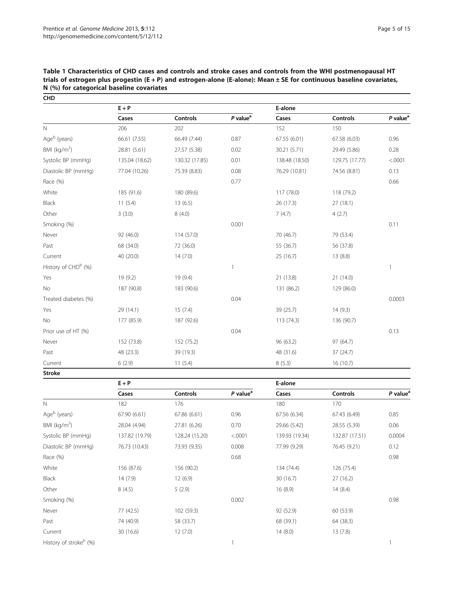| <b>CHD</b>                      |                |                   |                        |                 |                     |                        |
|---------------------------------|----------------|-------------------|------------------------|-----------------|---------------------|------------------------|
|                                 | $E + P$        |                   |                        | E-alone         |                     |                        |
|                                 | Cases          | <b>Controls</b>   | $P$ value <sup>a</sup> | Cases           | <b>Controls</b>     | $P$ value <sup>a</sup> |
| $\mathbb N$                     | 206            | 202               |                        | 152             | 150                 |                        |
| Ageb (years)                    | 66.61 (7.55)   | 66.49 (7.44)      | 0.87                   | 67.55 (6.01)    | 67.58 (6.03)        | 0.96                   |
| BMI (kg/m <sup>2</sup> )        | 28.81 (5.61)   | 27.57 (5.38)      | 0.02                   | 30.21 (5.71)    | 29.49 (5.86)        | 0.28                   |
| Systolic BP (mmHg)              | 135.04 (18.62) | 130.32 (17.85)    | 0.01                   | 138.48 (18.50)  | 129.75 (17.77)      | < .0001                |
| Diastolic BP (mmHg)             | 77.04 (10.26)  | 75.39 (8.83)      | 0.08                   | 76.29 (10.81)   | 74.56 (8.81)        | 0.13                   |
| Race (%)                        |                |                   | 0.77                   |                 |                     | 0.66                   |
| White                           | 185 (91.6)     | 180 (89.6)        |                        | 117 (78.0)      | 118 (79.2)          |                        |
| Black                           | 11(5.4)        | 13(6.5)           |                        | 26 (17.3)       | 27 (18.1)           |                        |
| Other                           | 3(3.0)         | 8(4.0)            |                        | 7(4.7)          | 4(2.7)              |                        |
| Smoking (%)                     |                |                   | 0.001                  |                 |                     | 0.11                   |
| Never                           | 92 (46.0)      | 114 (57.0)        |                        | 70 (46.7)       | 79 (53.4)           |                        |
| Past                            | 68 (34.0)      | 72 (36.0)         |                        | 55 (36.7)       | 56 (37.8)           |                        |
| Current                         | 40 (20.0)      | 14(7.0)           |                        | 25 (16.7)       | 13(8.8)             |                        |
| History of CHD <sup>b</sup> (%) |                |                   | $\overline{1}$         |                 |                     | $\mathbf{1}$           |
| Yes                             | 19 (9.2)       | 19 (9.4)          |                        | 21 (13.8)       | 21(14.0)            |                        |
| No                              | 187 (90.8)     | 183 (90.6)        |                        | 131 (86.2)      | 129 (86.0)          |                        |
| Treated diabetes (%)            |                |                   | 0.04                   |                 |                     | 0.0003                 |
| Yes                             | 29 (14.1)      | 15(7.4)           |                        | 39 (25.7)       | 14(9.3)             |                        |
| <b>No</b>                       | 177 (85.9)     | 187 (92.6)        |                        | 113 (74.3)      | 136 (90.7)          |                        |
| Prior use of HT (%)             |                |                   | 0.04                   |                 |                     | 0.13                   |
| Never                           | 152 (73.8)     | 152 (75.2)        |                        | 96 (63.2)       | 97 (64.7)           |                        |
| Past                            | 48 (23.3)      | 39 (19.3)         |                        | 48 (31.6)       | 37 (24.7)           |                        |
| Current                         | 6(2.9)         | 11(5.4)           |                        | 8(5.3)          | 16 (10.7)           |                        |
| <b>Stroke</b>                   |                |                   |                        |                 |                     |                        |
|                                 | $E + P$        |                   |                        | E-alone         |                     |                        |
|                                 | Cases          | <b>Controls</b>   | $P$ value <sup>a</sup> | Cases           | <b>Controls</b>     | $P$ value <sup>a</sup> |
| $\mathbb N$                     | 182            | 176               |                        | 180             | 170                 |                        |
| $\lambda$ h $\lambda$           |                | $- - - - - - - -$ |                        | $- - - - - - -$ | $z = 10$ $(z - 10)$ |                        |

## <span id="page-4-0"></span>Table 1 Characteristics of CHD cases and controls and stroke cases and controls from the WHI postmenopausal HT trials of estrogen plus progestin (E + P) and estrogen-alone (E-alone): Mean ± SE for continuous baseline covariates, N (%) for categorical baseline covariates

|                                    | $E + P$        |                 |                        | E-alone        |                |                        |
|------------------------------------|----------------|-----------------|------------------------|----------------|----------------|------------------------|
|                                    | Cases          | <b>Controls</b> | $P$ value <sup>a</sup> | Cases          | Controls       | $P$ value <sup>a</sup> |
| $\mathbb N$                        | 182            | 176             |                        | 180            | 170            |                        |
| Age <sup>b</sup> (years)           | 67.90 (6.61)   | 67.86 (6.61)    | 0.96                   | 67.56 (6.34)   | 67.43 (6.49)   | 0.85                   |
| BMI ( $kg/m2$ )                    | 28.04 (4.94)   | 27.81 (6.26)    | 0.70                   | 29.66 (5.42)   | 28.55 (5.39)   | 0.06                   |
| Systolic BP (mmHg)                 | 137.82 (19.79) | 128.24 (15.20)  | < .0001                | 139.93 (19.34) | 132.87 (17.51) | 0.0004                 |
| Diastolic BP (mmHg)                | 76.73 (10.43)  | 73.93 (9.35)    | 0.008                  | 77.99 (9.29)   | 76.45 (9.21)   | 0.12                   |
| Race (%)                           |                |                 | 0.68                   |                |                | 0.98                   |
| White                              | 156 (87.6)     | 156 (90.2)      |                        | 134 (74.4)     | 126 (75.4)     |                        |
| <b>Black</b>                       | 14(7.9)        | 12(6.9)         |                        | 30(16.7)       | 27(16.2)       |                        |
| Other                              | 8(4.5)         | 5(2.9)          |                        | 16(8.9)        | 14(8.4)        |                        |
| Smoking (%)                        |                |                 | 0.002                  |                |                | 0.98                   |
| Never                              | 77 (42.5)      | 102 (59.3)      |                        | 92 (52.9)      | 60 (53.9)      |                        |
| Past                               | 74 (40.9)      | 58 (33.7)       |                        | 68 (39.1)      | 64 (38.3)      |                        |
| Current                            | 30(16.6)       | 12(7.0)         |                        | 14(8.0)        | 13(7.8)        |                        |
| History of stroke <sup>b</sup> (%) |                |                 |                        |                |                |                        |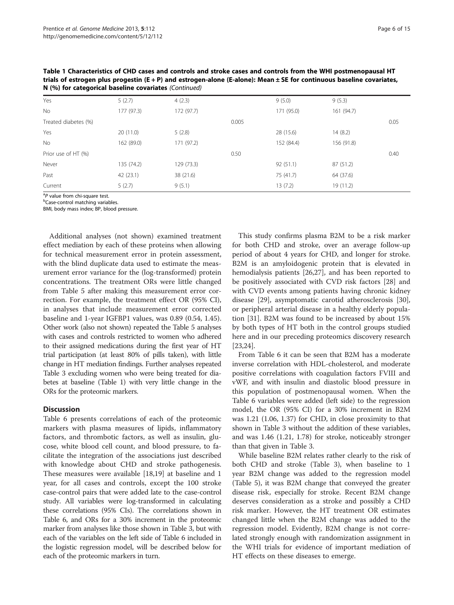| $11 (70)$ ist categorical subcliffs covariates (committed) |            |            |       |            |            |      |
|------------------------------------------------------------|------------|------------|-------|------------|------------|------|
| Yes                                                        | 5(2.7)     | 4(2.3)     |       | 9(5.0)     | 9(5.3)     |      |
| <b>No</b>                                                  | 177 (97.3) | 172(97.7)  |       | 171 (95.0) | 161(94.7)  |      |
| Treated diabetes (%)                                       |            |            | 0.005 |            |            | 0.05 |
| Yes                                                        | 20(11.0)   | 5(2.8)     |       | 28 (15.6)  | 14(8.2)    |      |
| <b>No</b>                                                  | 162 (89.0) | 171 (97.2) |       | 152 (84.4) | 156 (91.8) |      |
| Prior use of HT (%)                                        |            |            | 0.50  |            |            | 0.40 |
| Never                                                      | 135 (74.2) | 129 (73.3) |       | 92(51.1)   | 87 (51.2)  |      |
| Past                                                       | 42(23.1)   | 38 (21.6)  |       | 75 (41.7)  | 64 (37.6)  |      |
| Current                                                    | 5(2.7)     | 9(5.1)     |       | 13(7.2)    | 19 (11.2)  |      |
|                                                            |            |            |       |            |            |      |

Table 1 Characteristics of CHD cases and controls and stroke cases and controls from the WHI postmenopausal HT trials of estrogen plus progestin (E + P) and estrogen-alone (E-alone): Mean ± SE for continuous baseline covariates, N (%) for categorical baseline covariates (Continued)

<sup>a</sup>P value from chi-square test.<br><sup>b</sup>Case-control matching varial

<sup>b</sup>Case-control matching variables.

BMI, body mass index; BP, blood pressure.

Additional analyses (not shown) examined treatment effect mediation by each of these proteins when allowing for technical measurement error in protein assessment, with the blind duplicate data used to estimate the measurement error variance for the (log-transformed) protein concentrations. The treatment ORs were little changed from Table [5](#page-9-0) after making this measurement error correction. For example, the treatment effect OR (95% CI), in analyses that include measurement error corrected baseline and 1-year IGFBP1 values, was 0.89 (0.54, 1.45). Other work (also not shown) repeated the Table [5](#page-9-0) analyses with cases and controls restricted to women who adhered to their assigned medications during the first year of HT trial participation (at least 80% of pills taken), with little change in HT mediation findings. Further analyses repeated Table [3](#page-8-0) excluding women who were being treated for diabetes at baseline (Table [1](#page-4-0)) with very little change in the ORs for the proteomic markers.

## **Discussion**

Table [6](#page-10-0) presents correlations of each of the proteomic markers with plasma measures of lipids, inflammatory factors, and thrombotic factors, as well as insulin, glucose, white blood cell count, and blood pressure, to facilitate the integration of the associations just described with knowledge about CHD and stroke pathogenesis. These measures were available [[18,19\]](#page-13-0) at baseline and 1 year, for all cases and controls, except the 100 stroke case-control pairs that were added late to the case-control study. All variables were log-transformed in calculating these correlations (95% CIs). The correlations shown in Table [6,](#page-10-0) and ORs for a 30% increment in the proteomic marker from analyses like those shown in Table [3](#page-8-0), but with each of the variables on the left side of Table [6](#page-10-0) included in the logistic regression model, will be described below for each of the proteomic markers in turn.

This study confirms plasma B2M to be a risk marker for both CHD and stroke, over an average follow-up period of about 4 years for CHD, and longer for stroke. B2M is an amyloidogenic protein that is elevated in hemodialysis patients [\[26,27](#page-14-0)], and has been reported to be positively associated with CVD risk factors [\[28](#page-14-0)] and with CVD events among patients having chronic kidney disease [\[29\]](#page-14-0), asymptomatic carotid atherosclerosis [\[30](#page-14-0)], or peripheral arterial disease in a healthy elderly population [[31](#page-14-0)]. B2M was found to be increased by about 15% by both types of HT both in the control groups studied here and in our preceding proteomics discovery research [[23,24\]](#page-14-0).

From Table [6](#page-10-0) it can be seen that B2M has a moderate inverse correlation with HDL-cholesterol, and moderate positive correlations with coagulation factors FVIII and vWF, and with insulin and diastolic blood pressure in this population of postmenopausal women. When the Table [6](#page-10-0) variables were added (left side) to the regression model, the OR (95% CI) for a 30% increment in B2M was 1.21 (1.06, 1.37) for CHD, in close proximity to that shown in Table [3](#page-8-0) without the addition of these variables, and was 1.46 (1.21, 1.78) for stroke, noticeably stronger than that given in Table [3](#page-8-0).

While baseline B2M relates rather clearly to the risk of both CHD and stroke (Table [3](#page-8-0)), when baseline to 1 year B2M change was added to the regression model (Table [5\)](#page-9-0), it was B2M change that conveyed the greater disease risk, especially for stroke. Recent B2M change deserves consideration as a stroke and possibly a CHD risk marker. However, the HT treatment OR estimates changed little when the B2M change was added to the regression model. Evidently, B2M change is not correlated strongly enough with randomization assignment in the WHI trials for evidence of important mediation of HT effects on these diseases to emerge.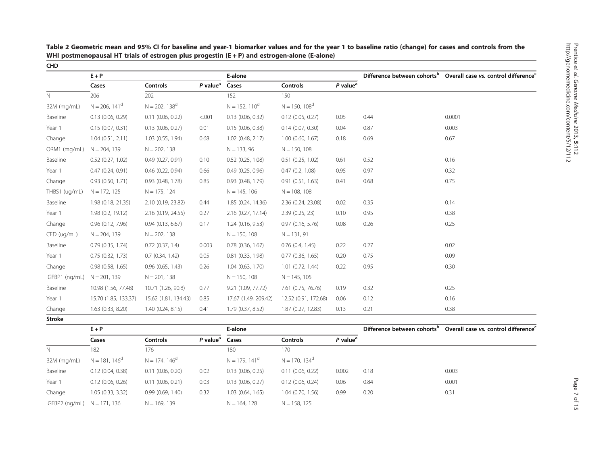|                | $E + P$               |                       |                        | E-alone              |                      |                                     |      | Difference between cohorts <sup>b</sup> Overall case vs. control difference <sup>c</sup> |
|----------------|-----------------------|-----------------------|------------------------|----------------------|----------------------|-------------------------------------|------|------------------------------------------------------------------------------------------|
|                | Cases                 | <b>Controls</b>       | $P$ value <sup>a</sup> | Cases                | <b>Controls</b>      | $P$ value <sup><math>a</math></sup> |      |                                                                                          |
| N              | 206                   | 202                   |                        | 152                  | 150                  |                                     |      |                                                                                          |
| B2M (mg/mL)    | $N = 206, 141^d$      | $N = 202, 138^d$      |                        | $N = 152, 110^d$     | $N = 150, 108^d$     |                                     |      |                                                                                          |
| Baseline       | 0.13(0.06, 0.29)      | $0.11$ (0.06, 0.22)   | < .001                 | 0.13(0.06, 0.32)     | $0.12$ (0.05, 0.27)  | 0.05                                | 0.44 | 0.0001                                                                                   |
| Year 1         | 0.15(0.07, 0.31)      | $0.13$ (0.06, 0.27)   | 0.01                   | 0.15(0.06, 0.38)     | 0.14(0.07, 0.30)     | 0.04                                | 0.87 | 0.003                                                                                    |
| Change         | 1.04(0.51, 2.11)      | $1.03$ (0.55, 1.94)   | 0.68                   | $1.02$ (0.48, 2.17)  | 1.00(0.60, 1.67)     | 0.18                                | 0.69 | 0.67                                                                                     |
| ORM1 (mg/mL)   | $N = 204, 139$        | $N = 202, 138$        |                        | $N = 133, 96$        | $N = 150, 108$       |                                     |      |                                                                                          |
| Baseline       | 0.52(0.27, 1.02)      | 0.49(0.27, 0.91)      | 0.10                   | 0.52(0.25, 1.08)     | 0.51(0.25, 1.02)     | 0.61                                | 0.52 | 0.16                                                                                     |
| Year 1         | 0.47(0.24, 0.91)      | $0.46$ $(0.22, 0.94)$ | 0.66                   | 0.49(0.25, 0.96)     | 0.47(0.2, 1.08)      | 0.95                                | 0.97 | 0.32                                                                                     |
| Change         | 0.93(0.50, 1.71)      | $0.93$ $(0.48, 1.78)$ | 0.85                   | 0.93(0.48, 1.79)     | 0.91(0.51, 1.63)     | 0.41                                | 0.68 | 0.75                                                                                     |
| THBS1 (ug/mL)  | $N = 172, 125$        | $N = 175, 124$        |                        | $N = 145, 106$       | $N = 108, 108$       |                                     |      |                                                                                          |
| Baseline       | 1.98 (0.18, 21.35)    | 2.10 (0.19, 23.82)    | 0.44                   | 1.85 (0.24, 14.36)   | 2.36 (0.24, 23.08)   | 0.02                                | 0.35 | 0.14                                                                                     |
| Year 1         | 1.98(0.2, 19.12)      | 2.16 (0.19, 24.55)    | 0.27                   | 2.16 (0.27, 17.14)   | 2.39(0.25, 23)       | 0.10                                | 0.95 | 0.38                                                                                     |
| Change         | $0.96$ $(0.12, 7.96)$ | 0.94(0.13, 6.67)      | 0.17                   | 1.24(0.16, 9.53)     | 0.97(0.16, 5.76)     | 0.08                                | 0.26 | 0.25                                                                                     |
| CFD (ug/mL)    | $N = 204, 139$        | $N = 202, 138$        |                        | $N = 150, 108$       | $N = 131, 91$        |                                     |      |                                                                                          |
| Baseline       | 0.79(0.35, 1.74)      | $0.72$ $(0.37, 1.4)$  | 0.003                  | 0.78(0.36, 1.67)     | 0.76(0.4, 1.45)      | 0.22                                | 0.27 | 0.02                                                                                     |
| Year 1         | 0.75(0.32, 1.73)      | 0.7(0.34, 1.42)       | 0.05                   | 0.81(0.33, 1.98)     | 0.77(0.36, 1.65)     | 0.20                                | 0.75 | 0.09                                                                                     |
| Change         | 0.98(0.58, 1.65)      | $0.96$ $(0.65, 1.43)$ | 0.26                   | 1.04(0.63, 1.70)     | 1.01(0.72, 1.44)     | 0.22                                | 0.95 | 0.30                                                                                     |
| IGFBP1 (ng/mL) | $N = 201, 139$        | $N = 201, 138$        |                        | $N = 150, 108$       | $N = 145, 105$       |                                     |      |                                                                                          |
| Baseline       | 10.98 (1.56, 77.48)   | 10.71 (1.26, 90.8)    | 0.77                   | 9.21 (1.09, 77.72)   | 7.61 (0.75, 76.76)   | 0.19                                | 0.32 | 0.25                                                                                     |
| Year 1         | 15.70 (1.85, 133.37)  | 15.62 (1.81, 134.43)  | 0.85                   | 17.67 (1.49, 209.42) | 12.52 (0.91, 172.68) | 0.06                                | 0.12 | 0.16                                                                                     |
| Change         | $1.63$ (0.33, 8.20)   | 1.40(0.24, 8.15)      | 0.41                   | 1.79 (0.37, 8.52)    | 1.87 (0.27, 12.83)   | 0.13                                | 0.21 | 0.38                                                                                     |

<span id="page-6-0"></span>Table 2 Geometric mean and 95% CI for baseline and year-<sup>1</sup> biomarker values and for the year <sup>1</sup> to baseline ratio (change) for cases and controls from the WHI postmenopausal HT trials of estrogen plus progestin (E <sup>+</sup> P) and estrogen-alone (E-alone)

|                               | $E + P$          |                  |                            | E-alone          |                  |                        | Difference between cohorts <sup>o</sup> | Overall case vs. control difference <sup>c</sup> |  |
|-------------------------------|------------------|------------------|----------------------------|------------------|------------------|------------------------|-----------------------------------------|--------------------------------------------------|--|
|                               | Cases            | <b>Controls</b>  | P value <sup>a</sup> Cases |                  | <b>Controls</b>  | $P$ value <sup>a</sup> |                                         |                                                  |  |
| N                             | 182              | 176              |                            | 180              | 170              |                        |                                         |                                                  |  |
| B2M (mg/mL)                   | $N = 181.146d$   | $N = 174.146d$   |                            | $N = 179.141d$   | $N = 170.134d$   |                        |                                         |                                                  |  |
| Baseline                      | 0.12(0.04, 0.38) | 0.11(0.06, 0.20) | 0.02                       | 0.13(0.06, 0.25) | 0.11(0.06, 0.22) | 0.002                  | 0.18                                    | 0.003                                            |  |
| Year 1                        | 0.12(0.06, 0.26) | 0.11(0.06, 0.21) | 0.03                       | 0.13(0.06, 0.27) | 0.12(0.06, 0.24) | 0.06                   | 0.84                                    | 0.001                                            |  |
| Change                        | 1.05(0.33, 3.32) | 0.99(0.69, 1.40) | 0.32                       | 1.03(0.64, 1.65) | 1.04(0.70, 1.56) | 0.99                   | 0.20                                    | 0.31                                             |  |
| IGFBP2 (ng/mL) $N = 171, 136$ |                  | $N = 169, 139$   |                            | $N = 164, 128$   | $N = 158, 125$   |                        |                                         |                                                  |  |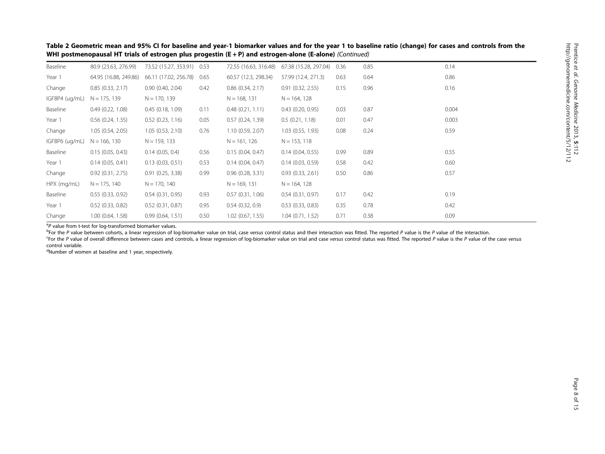|                |                                                                                                                                                                                                                   | WHI postmenopausal HT trials of estrogen plus progestin (E + P) and estrogen-alone (E-alone) (Continued) |      |                       |                                                  |      |      |       |
|----------------|-------------------------------------------------------------------------------------------------------------------------------------------------------------------------------------------------------------------|----------------------------------------------------------------------------------------------------------|------|-----------------------|--------------------------------------------------|------|------|-------|
| Baseline       | 80.9 (23.63, 276.99)                                                                                                                                                                                              | 73.52 (15.27, 353.91) 0.53                                                                               |      |                       | 72.55 (16.63, 316.48) 67.38 (15.28, 297.04) 0.36 |      | 0.85 | 0.14  |
| Year 1         | 64.95 (16.88, 249.86)                                                                                                                                                                                             | 66.11 (17.02, 256.78)                                                                                    | 0.65 | 60.57 (12.3, 298.34)  | 57.99 (12.4, 271.3)                              | 0.63 | 0.64 | 0.86  |
| Change         | 0.85(0.33, 2.17)                                                                                                                                                                                                  | 0.90(0.40, 2.04)                                                                                         | 0.42 | $0.86$ $(0.34, 2.17)$ | 0.91(0.32, 2.55)                                 | 0.15 | 0.96 | 0.16  |
| IGFBP4 (ug/mL) | $N = 175, 139$                                                                                                                                                                                                    | $N = 170, 139$                                                                                           |      | $N = 168, 131$        | $N = 164, 128$                                   |      |      |       |
| Baseline       | 0.49(0.22, 1.08)                                                                                                                                                                                                  | 0.45(0.18, 1.09)                                                                                         | 0.11 | 0.48(0.21, 1.11)      | 0.43(0.20, 0.95)                                 | 0.03 | 0.87 | 0.004 |
| Year 1         | 0.56(0.24, 1.35)                                                                                                                                                                                                  | $0.52$ (0.23, 1.16)                                                                                      | 0.05 | 0.57(0.24, 1.39)      | 0.5(0.21, 1.18)                                  | 0.01 | 0.47 | 0.003 |
| Change         | 1.05(0.54, 2.05)                                                                                                                                                                                                  | 1.05(0.53, 2.10)                                                                                         | 0.76 | 1.10(0.59, 2.07)      | 1.03(0.55, 1.93)                                 | 0.08 | 0.24 | 0.59  |
| IGFBP6 (ug/mL) | $N = 166, 130$                                                                                                                                                                                                    | $N = 159, 133$                                                                                           |      | $N = 161, 126$        | $N = 153, 118$                                   |      |      |       |
| Baseline       | 0.15(0.05, 0.43)                                                                                                                                                                                                  | 0.14(0.05, 0.4)                                                                                          | 0.56 | 0.15(0.04, 0.47)      | 0.14(0.04, 0.55)                                 | 0.99 | 0.89 | 0.55  |
| Year 1         | 0.14(0.05, 0.41)                                                                                                                                                                                                  | $0.13$ $(0.03, 0.51)$                                                                                    | 0.53 | 0.14(0.04, 0.47)      | 0.14(0.03, 0.59)                                 | 0.58 | 0.42 | 0.60  |
| Change         | 0.92(0.31, 2.75)                                                                                                                                                                                                  | 0.91(0.25, 3.38)                                                                                         | 0.99 | 0.96(0.28, 3.31)      | 0.93(0.33, 2.61)                                 | 0.50 | 0.86 | 0.57  |
| HPX (mg/mL)    | $N = 175, 140$                                                                                                                                                                                                    | $N = 170, 140$                                                                                           |      | $N = 169, 131$        | $N = 164, 128$                                   |      |      |       |
| Baseline       | 0.55(0.33, 0.92)                                                                                                                                                                                                  | 0.54(0.31, 0.95)                                                                                         | 0.93 | 0.57(0.31, 1.06)      | 0.54(0.31, 0.97)                                 | 0.17 | 0.42 | 0.19  |
| Year 1         | 0.52(0.33, 0.82)                                                                                                                                                                                                  | $0.52$ $(0.31, 0.87)$                                                                                    | 0.95 | 0.54(0.32, 0.9)       | 0.53(0.33, 0.83)                                 | 0.35 | 0.78 | 0.42  |
| Change         | 1.00(0.64, 1.58)                                                                                                                                                                                                  | 0.99(0.64, 1.51)                                                                                         | 0.50 | 1.02(0.67, 1.55)      | 1.04(0.71, 1.52)                                 | 0.71 | 0.38 | 0.09  |
|                | $\mathbf{a}_{\mathbf{n}}$ and the $\mathbf{c}_{\mathbf{n}}$ and $\mathbf{c}_{\mathbf{n}}$ and $\mathbf{c}_{\mathbf{n}}$ and $\mathbf{c}_{\mathbf{n}}$ and $\mathbf{c}_{\mathbf{n}}$ and $\mathbf{c}_{\mathbf{n}}$ |                                                                                                          |      |                       |                                                  |      |      |       |

Table 2 Geometric mean and 95% CI for baseline and year-<sup>1</sup> biomarker values and for the year <sup>1</sup> to baseline ratio (change) for cases and controls from the WHI postmenopausal HT trials of estrogen plus progestin (E + P) and estrogen-alone (E-alone) (Continued)

<sup>a</sup>P value from t-test for log-transformed biomarker values.

<sup>b</sup>For the P value between cohorts, a linear regression of log-biomarker value on trial, case versus control status and their interaction was fitted. The reported P value is the P value of the interaction. For the P value of overall difference between cases and controls, a linear regression of log-biomarker value on trial and case versus control status was fitted. The reported P value is the P value of the case versus control variable.

<sup>d</sup>Number of women at baseline and 1 year, respectively.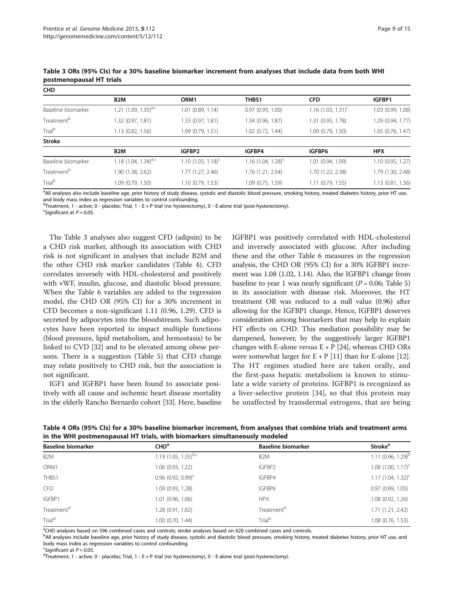| <b>CHD</b>             |                           |                       |                         |                                  |                   |
|------------------------|---------------------------|-----------------------|-------------------------|----------------------------------|-------------------|
|                        | B <sub>2</sub> M          | ORM <sub>1</sub>      | THBS1                   | <b>CFD</b>                       | IGFBP1            |
| Baseline biomarker     | 1.21 $(1.09, 1.35)^{a,c}$ | $1.01$ (0.89, 1.14)   | 0.97(0.93, 1.00)        | $1.16$ (1.03, 1.31) <sup>c</sup> | 1.03 (0.99, 1.08) |
| Treatment <sup>b</sup> | 1.32 (0.97, 1.81)         | 1.33 (0.97, 1.81)     | 1.34 (0.96, 1.87)       | 1.31 (0.95, 1.78)                | 1.29 (0.94, 1.77) |
| Trial <sup>b</sup>     | $1.13$ (0.82, 1.56)       | 1.09 (0.79, 1.51)     | $1.02$ (0.72, 1.44)     | 1.09(0.79, 1.50)                 | 1.05(0.76, 1.47)  |
| <b>Stroke</b>          |                           |                       |                         |                                  |                   |
|                        | B <sub>2</sub> M          | IGFBP2                | IGFBP4                  | IGFBP6                           | <b>HPX</b>        |
| Baseline biomarker     | 1.18 $(1.04, 1.34)^{a,c}$ | 1.10 $(1.03, 1.18)^c$ | 1.16 $(1.04, 1.28)^{c}$ | 1.01 (0.94, 1.09)                | 1.10(0.95, 1.27)  |
| Treatment <sup>b</sup> | 1.90 (1.38, 2.62)         | 1.77 (1.27, 2.46)     | 1.76 (1.21, 2.54)       | 1.70 (1.22, 2.38)                | 1.79 (1.30, 2.48) |
| Trial <sup>b</sup>     | 1.09 (0.79, 1.50)         | 1.10(0.79, 1.53)      | 1.09(0.75, 1.59)        | $1.11$ (0.79, 1.55)              | 1.13(0.81, 1.56)  |

<span id="page-8-0"></span>Table 3 ORs (95% CIs) for a 30% baseline biomarker increment from analyses that include data from both WHI postmenopausal HT trials

<sup>a</sup>All analyses also include baseline age, prior history of study disease, systolic and diastolic blood pressure, smoking history, treated diabetes history, prior HT use and body mass index as regression variables to control confounding.

b Treatment, 1 - active; 0 - placebo; Trial, 1 - E + P trial (no hysterectomy), 0 - E-alone trial (post-hysterectomy).

<sup>c</sup>Significant at  $P = 0.05$ .

The Table 3 analyses also suggest CFD (adipsin) to be a CHD risk marker, although its association with CHD risk is not significant in analyses that include B2M and the other CHD risk marker candidates (Table 4). CFD correlates inversely with HDL-cholesterol and positively with vWF, insulin, glucose, and diastolic blood pressure. When the Table [6](#page-10-0) variables are added to the regression model, the CHD OR (95% CI) for a 30% increment in CFD becomes a non-significant 1.11 (0.96, 1.29). CFD is secreted by adipocytes into the bloodstream. Such adipocytes have been reported to impact multiple functions (blood pressure, lipid metabolism, and hemostasis) to be linked to CVD [\[32\]](#page-14-0) and to be elevated among obese persons. There is a suggestion (Table [5\)](#page-9-0) that CFD change may relate positively to CHD risk, but the association is not significant.

IGF1 and IGFBP1 have been found to associate positively with all cause and ischemic heart disease mortality in the elderly Rancho Bernardo cohort [[33](#page-14-0)]. Here, baseline

IGFBP1 was positively correlated with HDL-cholesterol and inversely associated with glucose. After including these and the other Table [6](#page-10-0) measures in the regression analysis, the CHD OR (95% CI) for a 30% IGFBP1 increment was 1.08 (1.02, 1.14). Also, the IGFBP1 change from baseline to year 1 was nearly significant ( $P = 0.06$ ; Table [5](#page-9-0)) in its association with disease risk. Moreover, the HT treatment OR was reduced to a null value (0.96) after allowing for the IGFBP1 change. Hence, IGFBP1 deserves consideration among biomarkers that may help to explain HT effects on CHD. This mediation possibility may be dampened, however, by the suggestively larger IGFBP1 changes with E-alone versus  $E + P$  [\[24\]](#page-14-0), whereas CHD ORs were somewhat larger for  $E + P$  [[11](#page-13-0)] than for E-alone [[12](#page-13-0)]. The HT regimes studied here are taken orally, and the first-pass hepatic metabolism is known to stimulate a wide variety of proteins. IGFBP1 is recognized as a liver-selective protein [[34](#page-14-0)], so that this protein may be unaffected by transdermal estrogens, that are being

Table 4 ORs (95% CIs) for a 30% baseline biomarker increment, from analyses that combine trials and treatment arms in the WHI postmenopausal HT trials, with biomarkers simultaneously modeled

| <b>Baseline biomarker</b> | CHD <sup>a</sup>                 | <b>Baseline biomarker</b> | Stroke <sup>a</sup>     |
|---------------------------|----------------------------------|---------------------------|-------------------------|
| B <sub>2</sub> M          | 1.19 $(1.05, 1.35)^{b,c}$        | B <sub>2</sub> M          | 1.11 $(0.96, 1.29)^{b}$ |
| ORM1                      | 1.06(0.93, 1.22)                 | IGFBP2                    | $1.08$ $(1.00, 1.17)^c$ |
| THBS1                     | $0.96$ (0.92, 0.99) <sup>c</sup> | IGFBP4                    | $1.17(1.04, 1.32)^c$    |
| <b>CFD</b>                | 1.09 (0.93, 1.28)                | IGFBP6                    | 0.97(0.89, 1.05)        |
| IGFBP1                    | 1.01 (0.96, 1.06)                | <b>HPX</b>                | 1.08(0.92, 1.26)        |
| Treatment <sup>d</sup>    | 1.28 (0.91, 1.82)                | Treatment <sup>b</sup>    | 1.71(1.21, 2.42)        |
| Trial <sup>d</sup>        | $1.00$ $(0.70, 1.44)$            | Trial <sup>b</sup>        | $1.08$ (0.76, 1.53)     |

<sup>a</sup>CHD analyses based on 596 combined cases and controls; stroke analyses based on 620 combined cases and controls.

bAll analyses include baseline age, prior history of study disease, systolic and diastolic blood pressure, smoking history, treated diabetes history, prior HT use, and body mass index as regression variables to control confounding.

Exercise Significant at  $P = 0.05$ .

 $\text{d}^{\text{d}}$ Treatment, 1 - active; 0 - placebo; Trial, 1 - E + P trial (no hysterectomy), 0 - E-alone trial (post-hysterectomy).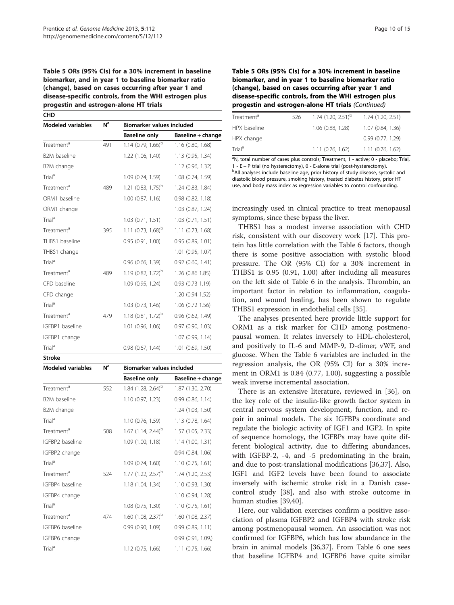## <span id="page-9-0"></span>Table 5 ORs (95% CIs) for a 30% increment in baseline biomarker, and in year 1 to baseline biomarker ratio (change), based on cases occurring after year 1 and disease-specific controls, from the WHI estrogen plus progestin and estrogen-alone HT trials

**CHD** Modeled variables  $N^a$  Biomarker values included Baseline only Baseline + change Treatment<sup>a</sup> 491 1.14 (0.79, 1.66)<sup>b</sup> 1.16 (0.80, 1.68) B2M baseline 1.22 (1.06, 1.40) 1.13 (0.95, 1.34) B2M change 1.12 (0.96, 1.32) Trial<sup>a</sup> 1.09 (0.74, 1.59) 1.08 (0.74, 1.59) Treatment<sup>a</sup> 489 1.21 (0.83, 1.75)<sup>b</sup> 1.24 (0.83, 1.84) ORM1 baseline 1.00 (0.87, 1.16) 0.98 (0.82, 1.18) ORM1 change 1.03 (0.87, 1.24) Trial<sup>a</sup> 1.03 (0.71, 1.51) 1.03 (0.71, 1.51) Treatment<sup>a</sup> 395 1.11 (0.73, 1.68)<sup>b</sup> 1.11 (0.73, 1.68) THBS1 baseline 0.95 (0.91, 1.00) 0.95 (0.89, 1.01) THBS1 change 1.01 (0.95, 1.07) Trial<sup>a</sup> 0.96 (0.66, 1.39) 0.92 (0.60, 1.41) Treatment<sup>a</sup> 489 1.19 (0.82, 1.72)<sup>b</sup> 1.26 (0.86 1.85) CFD baseline 1.09 (0.95, 1.24) 0.93 (0.73 1.19) CFD change 1.20 (0.94 1.52) Trial<sup>a</sup> 1.03 (0.73, 1.46) 1.06 (0.72 1.56) Treatment<sup>a</sup> 479 1.18  $(0.81, 1.72)^b$  0.96  $(0.62, 1.49)$ IGFBP1 baseline 1.01 (0.96, 1.06) 0.97 (0.90, 1.03) IGFBP1 change 1.07 (0.99, 1.14) Trial<sup>a</sup> 0.98 (0.67, 1.44) 1.01 (0.69, 1.50)

| <b>Modeled variables</b> | N <sup>a</sup> | <b>Biomarker values included</b> |                       |
|--------------------------|----------------|----------------------------------|-----------------------|
|                          |                | <b>Baseline only</b>             | Baseline + change     |
| Treatment <sup>a</sup>   | 552            | 1.84 $(1.28, 2.64)^b$            | 1.87 (1.30, 2.70)     |
| <b>B2M</b> baseline      |                | 1.10 (0.97, 1.23)                | 0.99(0.86, 1.14)      |
| B2M change               |                |                                  | 1.24 (1.03, 1.50)     |
| Trial <sup>a</sup>       |                | 1.10 (0.76, 1.59)                | 1.13 (0.78, 1.64)     |
| Treatment <sup>a</sup>   | 508            | 1.67 $(1.14, 2.44)^{b}$          | 1.57 (1.05, 2.33)     |
| IGFBP2 baseline          |                | 1.09 (1.00, 1.18)                | 1.14(1.00, 1.31)      |
| IGFBP2 change            |                |                                  | $0.94$ $(0.84, 1.06)$ |
| Trial <sup>a</sup>       |                | 1.09 (0.74, 1.60)                | 1.10 (0.75, 1.61)     |
| Treatment <sup>a</sup>   | 524            | 1.77 $(1.22, 2.57)^{b}$          | 1.74 (1.20, 2.53)     |
| IGFBP4 baseline          |                | 1.18 (1.04, 1.34)                | 1.10 (0.93, 1.30)     |
| IGFBP4 change            |                |                                  | 1.10 (0.94, 1.28)     |
| Trial <sup>a</sup>       |                | $1.08$ (0.75, 1.30)              | 1.10 (0.75, 1.61)     |
| Treatment <sup>a</sup>   | 474            | 1.60 $(1.08, 2.37)^{b}$          | 1.60 (1.08, 2.37)     |
| IGFBP6 baseline          |                | 0.99(0.90, 1.09)                 | 0.99(0.89, 1.11)      |
| IGFBP6 change            |                |                                  | 0.99(0.91, 1.09)      |
| Trial <sup>a</sup>       |                | 1.12 (0.75, 1.66)                | $1.11$ (0.75, 1.66)   |

Stroke

Table 5 ORs (95% CIs) for a 30% increment in baseline biomarker, and in year 1 to baseline biomarker ratio (change), based on cases occurring after year 1 and disease-specific controls, from the WHI estrogen plus progestin and estrogen-alone HT trials (Continued)

| Treatment <sup>a</sup> | 526 | $1.74$ (1.20, 2.51) <sup>b</sup> | 1.74 (1.20, 2.51) |
|------------------------|-----|----------------------------------|-------------------|
| HPX baseline           |     | 1.06 (0.88, 1.28)                | 1.07 (0.84, 1.36) |
| HPX change             |     |                                  | 0.99(0.77, 1.29)  |
| Trial <sup>a</sup>     |     | 1.11(0.76, 1.62)                 | 1.11(0.76, 1.62)  |

<sup>a</sup>N, total number of cases plus controls; Treatment, 1 - active; 0 - placebo; Trial, 1 - E + P trial (no hysterectomy), 0 - E-alone trial (post-hysterectomy). <sup>b</sup>All analyses include baseline age, prior history of study disease, systolic and diastolic blood pressure, smoking history, treated diabetes history, prior HT use, and body mass index as regression variables to control confounding.

increasingly used in clinical practice to treat menopausal symptoms, since these bypass the liver.

THBS1 has a modest inverse association with CHD risk, consistent with our discovery work [\[17\]](#page-13-0). This protein has little correlation with the Table [6](#page-10-0) factors, though there is some positive association with systolic blood pressure. The OR (95% CI) for a 30% increment in THBS1 is 0.95 (0.91, 1.00) after including all measures on the left side of Table [6](#page-10-0) in the analysis. Thrombin, an important factor in relation to inflammation, coagulation, and wound healing, has been shown to regulate THBS1 expression in endothelial cells [\[35](#page-14-0)].

The analyses presented here provide little support for ORM1 as a risk marker for CHD among postmenopausal women. It relates inversely to HDL-cholesterol, and positively to IL-6 and MMP-9, D-dimer, vWF, and glucose. When the Table [6](#page-10-0) variables are included in the regression analysis, the OR (95% CI) for a 30% increment in ORM1 is 0.84 (0.77, 1.00), suggesting a possible weak inverse incremental association.

There is an extensive literature, reviewed in [\[36](#page-14-0)], on the key role of the insulin-like growth factor system in central nervous system development, function, and repair in animal models. The six IGFBPs coordinate and regulate the biologic activity of IGF1 and IGF2. In spite of sequence homology, the IGFBPs may have quite different biological activity, due to differing abundances, with IGFBP-2, -4, and -5 predominating in the brain, and due to post-translational modifications [[36,37\]](#page-14-0). Also, IGF1 and IGF2 levels have been found to associate inversely with ischemic stroke risk in a Danish casecontrol study [[38\]](#page-14-0), and also with stroke outcome in human studies [[39](#page-14-0),[40](#page-14-0)].

Here, our validation exercises confirm a positive association of plasma IGFBP2 and IGFBP4 with stroke risk among postmenopausal women. An association was not confirmed for IGFBP6, which has low abundance in the brain in animal models [\[36,37](#page-14-0)]. From Table [6](#page-10-0) one sees that baseline IGFBP4 and IGFBP6 have quite similar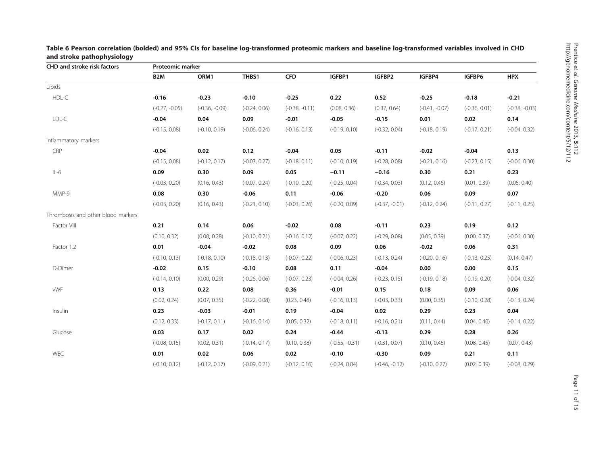| CHD and stroke risk factors        | Proteomic marker |                  |                 |                  |                  |                  |                  |                 |                  |
|------------------------------------|------------------|------------------|-----------------|------------------|------------------|------------------|------------------|-----------------|------------------|
|                                    | B <sub>2</sub> M | ORM1             | THBS1           | <b>CFD</b>       | IGFBP1           | IGFBP2           | IGFBP4           | IGFBP6          | <b>HPX</b>       |
| Lipids                             |                  |                  |                 |                  |                  |                  |                  |                 |                  |
| HDL-C                              | $-0.16$          | $-0.23$          | $-0.10$         | $-0.25$          | 0.22             | 0.52             | $-0.25$          | $-0.18$         | $-0.21$          |
|                                    | $(-0.27, -0.05)$ | $(-0.36, -0.09)$ | $(-0.24, 0.06)$ | $(-0.38, -0.11)$ | (0.08, 0.36)     | (0.37, 0.64)     | $(-0.41, -0.07)$ | $(-0.36, 0.01)$ | $(-0.38, -0.03)$ |
| LDL-C                              | $-0.04$          | 0.04             | 0.09            | $-0.01$          | $-0.05$          | $-0.15$          | 0.01             | 0.02            | 0.14             |
|                                    | $(-0.15, 0.08)$  | $(-0.10, 0.19)$  | $(-0.06, 0.24)$ | $(-0.16, 0.13)$  | $(-0.19, 0.10)$  | $(-0.32, 0.04)$  | $(-0.18, 0.19)$  | $(-0.17, 0.21)$ | $(-0.04, 0.32)$  |
| Inflammatory markers               |                  |                  |                 |                  |                  |                  |                  |                 |                  |
| CRP                                | $-0.04$          | 0.02             | 0.12            | $-0.04$          | 0.05             | $-0.11$          | $-0.02$          | $-0.04$         | 0.13             |
|                                    | $(-0.15, 0.08)$  | $(-0.12, 0.17)$  | $(-0.03, 0.27)$ | $(-0.18, 0.11)$  | $(-0.10, 0.19)$  | $(-0.28, 0.08)$  | $(-0.21, 0.16)$  | $(-0.23, 0.15)$ | $(-0.06, 0.30)$  |
| $IL-6$                             | 0.09             | 0.30             | 0.09            | 0.05             | $-0.11$          | $-0.16$          | 0.30             | 0.21            | 0.23             |
|                                    | $(-0.03, 0.20)$  | (0.16, 0.43)     | $(-0.07, 0.24)$ | $(-0.10, 0.20)$  | $(-0.25, 0.04)$  | $(-0.34, 0.03)$  | (0.12, 0.46)     | (0.01, 0.39)    | (0.05, 0.40)     |
| MMP-9                              | 0.08             | 0.30             | $-0.06$         | 0.11             | $-0.06$          | $-0.20$          | 0.06             | 0.09            | 0.07             |
|                                    | $(-0.03, 0.20)$  | (0.16, 0.43)     | $(-0.21, 0.10)$ | $(-0.03, 0.26)$  | $(-0.20, 0.09)$  | $(-0.37, -0.01)$ | $(-0.12, 0.24)$  | $(-0.11, 0.27)$ | $(-0.11, 0.25)$  |
| Thrombosis and other blood markers |                  |                  |                 |                  |                  |                  |                  |                 |                  |
| Factor VIII                        | 0.21             | 0.14             | 0.06            | $-0.02$          | 0.08             | $-0.11$          | 0.23             | 0.19            | 0.12             |
|                                    | (0.10, 0.32)     | (0.00, 0.28)     | $(-0.10, 0.21)$ | $(-0.16, 0.12)$  | $(-0.07, 0.22)$  | $(-0.29, 0.08)$  | (0.05, 0.39)     | (0.00, 0.37)    | $(-0.06, 0.30)$  |
| Factor 1.2                         | 0.01             | $-0.04$          | $-0.02$         | 0.08             | 0.09             | 0.06             | $-0.02$          | 0.06            | 0.31             |
|                                    | $(-0.10, 0.13)$  | $(-0.18, 0.10)$  | $(-0.18, 0.13)$ | $(-0.07, 0.22)$  | $(-0.06, 0.23)$  | $(-0.13, 0.24)$  | $(-0.20, 0.16)$  | $(-0.13, 0.25)$ | (0.14, 0.47)     |
| D-Dimer                            | $-0.02$          | 0.15             | $-0.10$         | 0.08             | 0.11             | $-0.04$          | 0.00             | 0.00            | 0.15             |
|                                    | $(-0.14, 0.10)$  | (0.00, 0.29)     | $(-0.26, 0.06)$ | $(-0.07, 0.23)$  | $(-0.04, 0.26)$  | $(-0.23, 0.15)$  | $(-0.19, 0.18)$  | $(-0.19, 0.20)$ | $(-0.04, 0.32)$  |
| vWF                                | 0.13             | 0.22             | 0.08            | 0.36             | $-0.01$          | 0.15             | 0.18             | 0.09            | 0.06             |
|                                    | (0.02, 0.24)     | (0.07, 0.35)     | $(-0.22, 0.08)$ | (0.23, 0.48)     | $(-0.16, 0.13)$  | $(-0.03, 0.33)$  | (0.00, 0.35)     | $(-0.10, 0.28)$ | $(-0.13, 0.24)$  |
| Insulin                            | 0.23             | $-0.03$          | $-0.01$         | 0.19             | $-0.04$          | 0.02             | 0.29             | 0.23            | 0.04             |
|                                    | (0.12, 0.33)     | $(-0.17, 0.11)$  | $(-0.16, 0.14)$ | (0.05, 0.32)     | $(-0.18, 0.11)$  | $(-0.16, 0.21)$  | (0.11, 0.44)     | (0.04, 0.40)    | $(-0.14, 0.22)$  |
| Glucose                            | 0.03             | 0.17             | 0.02            | 0.24             | $-0.44$          | $-0.13$          | 0.29             | 0.28            | 0.26             |
|                                    | $(-0.08, 0.15)$  | (0.02, 0.31)     | $(-0.14, 0.17)$ | (0.10, 0.38)     | $(-0.55, -0.31)$ | $(-0.31, 0.07)$  | (0.10, 0.45)     | (0.08, 0.45)    | (0.07, 0.43)     |
| WBC                                | 0.01             | 0.02             | 0.06            | 0.02             | $-0.10$          | $-0.30$          | 0.09             | 0.21            | 0.11             |
|                                    | $(-0.10, 0.12)$  | $(-0.12, 0.17)$  | $(-0.09, 0.21)$ | $(-0.12, 0.16)$  | $(-0.24, 0.04)$  | $(-0.46, -0.12)$ | $(-0.10, 0.27)$  | (0.02, 0.39)    | $(-0.08, 0.29)$  |

<span id="page-10-0"></span>Table 6 Pearson correlation (bolded) and 95% CIs for baseline log-transformed proteomic markers and baseline log-transformed variables involved in CHD and stroke pathophysiology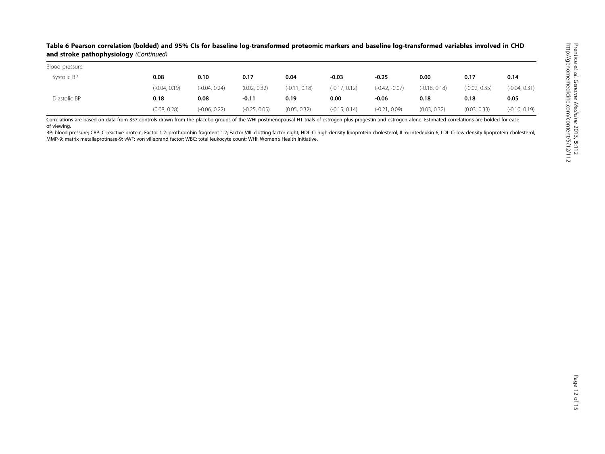## Table 6 Pearson correlation (bolded) and 95% CIs for baseline log-transformed proteomic markers and baseline log-transformed variables involved in CHD and stroke pathophysiology (Continued)

| Blood pressure |                 |                 |                 |                 |                 |                  |                 |                 |                 |
|----------------|-----------------|-----------------|-----------------|-----------------|-----------------|------------------|-----------------|-----------------|-----------------|
| Systolic BP    | 0.08            | 0.10            | 0.17            | 0.04            | $-0.03$         | $-0.25$          | 0.00            | 0.17            | 0.14            |
|                | $(-0.04, 0.19)$ | $(-0.04, 0.24)$ | (0.02, 0.32)    | $(-0.11, 0.18)$ | $(-0.17, 0.12)$ | $(-0.42, -0.07)$ | $(-0.18, 0.18)$ | $(-0.02, 0.35)$ | $(-0.04, 0.31)$ |
| Diastolic BP   | 0.18            | 0.08            | $-0.11$         | 0.19            | 0.00            | $-0.06$          | 0.18            | 0.18            | 0.05            |
|                | (0.08, 0.28)    | $(-0.06, 0.22)$ | $(-0.25, 0.05)$ | (0.05, 0.32)    | $(-0.15, 0.14)$ | $(-0.21, 0.09)$  | (0.03, 0.32)    | (0.03, 0.33)    | $(-0.10, 0.19)$ |

Correlations are based on data from 357 controls drawn from the placebo groups of the WHI postmenopausal HT trials of estrogen plus progestin and estrogen-alone. Estimated correlations are bolded for ease of viewing.

BP: blood pressure: CRP: C-reactive protein: Factor 1.2: prothrombin fragment 1.2: Factor VIII: clotting factor eight: HDL-C: high-density lipoprotein cholesterol: IL-6: interleykin 6: LDL-C: low-density lipoprotein choles MMP-9: matrix metallaprotinase-9; vWF: von villebrand factor; WBC: total leukocyte count; WHI: Women'<sup>s</sup> Health Initiative.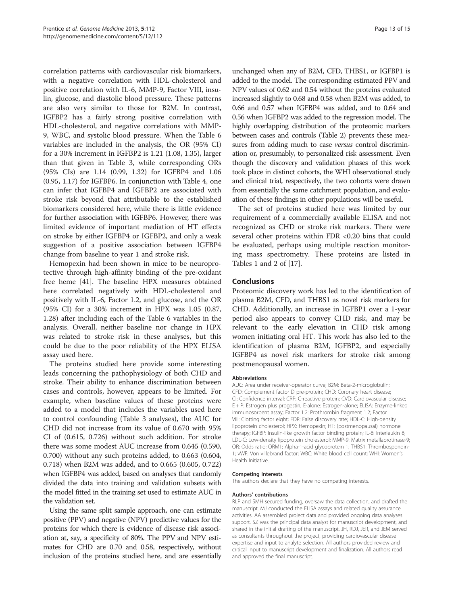correlation patterns with cardiovascular risk biomarkers, with a negative correlation with HDL-cholesterol and positive correlation with IL-6, MMP-9, Factor VIII, insulin, glucose, and diastolic blood pressure. These patterns are also very similar to those for B2M. In contrast, IGFBP2 has a fairly strong positive correlation with HDL-cholesterol, and negative correlations with MMP-9, WBC, and systolic blood pressure. When the Table [6](#page-10-0) variables are included in the analysis, the OR (95% CI) for a 30% increment in IGFBP2 is 1.21 (1.08, 1.35), larger than that given in Table [3](#page-8-0), while corresponding ORs (95% CIs) are 1.14 (0.99, 1.32) for IGFBP4 and 1.06 (0.95, 1.17) for IGFBP6. In conjunction with Table [4](#page-8-0), one can infer that IGFBP4 and IGFBP2 are associated with stroke risk beyond that attributable to the established biomarkers considered here, while there is little evidence for further association with IGFBP6. However, there was limited evidence of important mediation of HT effects on stroke by either IGFBP4 or IGFBP2, and only a weak suggestion of a positive association between IGFBP4 change from baseline to year 1 and stroke risk.

Hemopexin had been shown in mice to be neuroprotective through high-affinity binding of the pre-oxidant free heme [[41\]](#page-14-0). The baseline HPX measures obtained here correlated negatively with HDL-cholesterol and positively with IL-6, Factor 1.2, and glucose, and the OR (95% CI) for a 30% increment in HPX was 1.05 (0.87, 1.28) after including each of the Table [6](#page-10-0) variables in the analysis. Overall, neither baseline nor change in HPX was related to stroke risk in these analyses, but this could be due to the poor reliability of the HPX ELISA assay used here.

The proteins studied here provide some interesting leads concerning the pathophysiology of both CHD and stroke. Their ability to enhance discrimination between cases and controls, however, appears to be limited. For example, when baseline values of these proteins were added to a model that includes the variables used here to control confounding (Table [3](#page-8-0) analyses), the AUC for CHD did not increase from its value of 0.670 with 95% CI of (0.615, 0.726) without such addition. For stroke there was some modest AUC increase from 0.645 (0.590, 0.700) without any such proteins added, to 0.663 (0.604, 0.718) when B2M was added, and to 0.665 (0.605, 0.722) when IGFBP4 was added, based on analyses that randomly divided the data into training and validation subsets with the model fitted in the training set used to estimate AUC in the validation set.

Using the same split sample approach, one can estimate positive (PPV) and negative (NPV) predictive values for the proteins for which there is evidence of disease risk association at, say, a specificity of 80%. The PPV and NPV estimates for CHD are 0.70 and 0.58, respectively, without inclusion of the proteins studied here, and are essentially

unchanged when any of B2M, CFD, THBS1, or IGFBP1 is added to the model. The corresponding estimated PPV and NPV values of 0.62 and 0.54 without the proteins evaluated increased slightly to 0.68 and 0.58 when B2M was added, to 0.66 and 0.57 when IGFBP4 was added, and to 0.64 and 0.56 when IGFBP2 was added to the regression model. The highly overlapping distribution of the proteomic markers between cases and controls (Table [2\)](#page-6-0) prevents these measures from adding much to case versus control discrimination or, presumably, to personalized risk assessment. Even though the discovery and validation phases of this work took place in distinct cohorts, the WHI observational study and clinical trial, respectively, the two cohorts were drawn from essentially the same catchment population, and evaluation of these findings in other populations will be useful.

The set of proteins studied here was limited by our requirement of a commercially available ELISA and not recognized as CHD or stroke risk markers. There were several other proteins within FDR <0.20 bins that could be evaluated, perhaps using multiple reaction monitoring mass spectrometry. These proteins are listed in Tables [1](#page-4-0) and [2](#page-6-0) of [\[17](#page-13-0)].

## Conclusions

Proteomic discovery work has led to the identification of plasma B2M, CFD, and THBS1 as novel risk markers for CHD. Additionally, an increase in IGFBP1 over a 1-year period also appears to convey CHD risk, and may be relevant to the early elevation in CHD risk among women initiating oral HT. This work has also led to the identification of plasma B2M, IGFBP2, and especially IGFBP4 as novel risk markers for stroke risk among postmenopausal women.

#### Abbreviations

AUC: Area under receiver-operator curve; B2M: Beta-2-microglobulin; CFD: Complement factor D pre-protein; CHD: Coronary heart disease; CI: Confidence interval; CRP: C-reactive protein; CVD: Cardiovascular disease; E + P: Estrogen plus progestin; E-alone: Estrogen-alone; ELISA: Enzyme-linked immunosorbent assay; Factor 1.2: Prothrombin fragment 1.2; Factor VIII: Clotting factor eight; FDR: False discovery rate; HDL-C: High-density lipoprotein cholesterol; HPX: Hemopexin; HT: (postmenopausal) hormone therapy; IGFBP: Insulin-like growth factor binding protein; IL-6: Interleukin 6; LDL-C: Low-density lipoprotein cholesterol; MMP-9: Matrix metallaprotinase-9; OR: Odds ratio; ORM1: Alpha-1-acid glycoprotein 1; THBS1: Thrombospondin-1; vWF: Von villebrand factor; WBC: White blood cell count; WHI: Women's Health Initiative.

#### Competing interests

The authors declare that they have no competing interests.

#### Authors' contributions

RLP and SMH secured funding, oversaw the data collection, and drafted the manuscript. MJ conducted the ELISA assays and related quality assurance activities. AA assembled project data and provided ongoing data analyses support. SZ was the principal data analyst for manuscript development, and shared in the initial drafting of the manuscript. JH, RDJ, JER, and JEM served as consultants throughout the project, providing cardiovascular disease expertise and input to analyte selection. All authors provided review and critical input to manuscript development and finalization. All authors read and approved the final manuscript.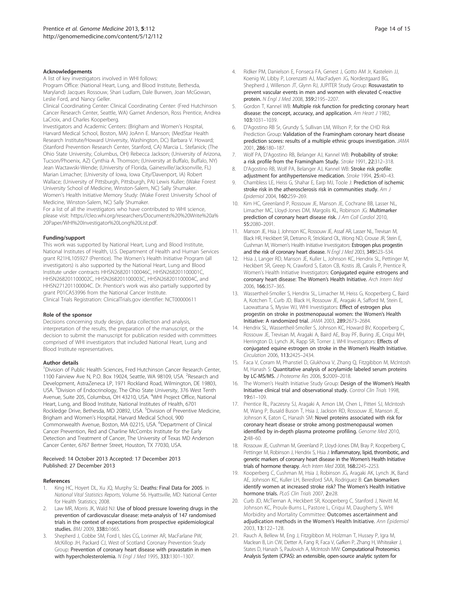#### <span id="page-13-0"></span>Acknowledgements

A list of key investigators involved in WHI follows: Program Office: (National Heart, Lung, and Blood Institute, Bethesda, Maryland) Jacques Rossouw, Shari Ludlam, Dale Burwen, Joan McGowan, Leslie Ford, and Nancy Geller.

Clinical Coordinating Center: Clinical Coordinating Center: (Fred Hutchinson Cancer Research Center, Seattle, WA) Garnet Anderson, Ross Prentice, Andrea LaCroix, and Charles Kooperberg.

Investigators and Academic Centers: (Brigham and Women's Hospital, Harvard Medical School, Boston, MA) JoAnn E. Manson; (MedStar Health Research Institute/Howard University, Washington, DC) Barbara V. Howard; (Stanford Prevention Research Center, Stanford, CA) Marcia L. Stefanick; (The Ohio State University, Columbus, OH) Rebecca Jackson; (University of Arizona, Tucson/Phoenix, AZ) Cynthia A. Thomson; (University at Buffalo, Buffalo, NY) Jean Wactawski-Wende; (University of Florida, Gainesville/Jacksonville, FL) Marian Limacher; (University of Iowa, Iowa City/Davenport, IA) Robert Wallace; (University of Pittsburgh, Pittsburgh, PA) Lewis Kuller; (Wake Forest University School of Medicine, Winston-Salem, NC) Sally Shumaker. Women's Health Initiative Memory Study: (Wake Forest University School of Medicine, Winston-Salem, NC) Sally Shumaker.

For a list of all the investigators who have contributed to WHI science, please visit: [https://cleo.whi.org/researchers/Documents%20%20Write%20a%](https://cleo.whi.org/researchers/Documents%20%20Write%20a%20Paper/WHI%20Investigator%20Long%20List.pdf) [20Paper/WHI%20Investigator%20Long%20List.pdf](https://cleo.whi.org/researchers/Documents%20%20Write%20a%20Paper/WHI%20Investigator%20Long%20List.pdf).

#### Funding/support

This work was supported by National Heart, Lung and Blood Institute, National Institutes of Health, U.S. Department of Health and Human Services grant R21HL105927 (Prentice). The Women's Health Initiative Program (all investigators) is also supported by the National Heart, Lung and Blood Institute under contracts HHSN268201100046C, HHSN268201100001C, HHSN268201100002C, HHSN268201100003C, HHSN268201100004C, and HHSN271201100004C. Dr. Prentice's work was also partially supported by grant P01CA53996 from the National Cancer Institute. Clinical Trials Registration: ClinicalTrials.gov identifier: [NCT00000611](http://www.clinicaltrials.gov/NCT00000611)

#### Role of the sponsor

Decisions concerning study design, data collection and analysis, interpretation of the results, the preparation of the manuscript, or the decision to submit the manuscript for publication resided with committees comprised of WHI investigators that included National Heart, Lung and Blood Institute representatives.

#### Author details

<sup>1</sup> Division of Public Health Sciences, Fred Hutchinson Cancer Research Center, 1100 Fairview Ave N, P.O. Box 19024, Seattle, WA 98109, USA. <sup>2</sup>Research and Development, AstraZeneca LP, 1971 Rockland Road, Wilmington, DE 19803, USA. <sup>3</sup> Division of Endocrinology, The Ohio State University, 376 West Tenth Avenue, Suite 205, Columbus, OH 43210, USA. <sup>4</sup>WHI Project Office, National Heart, Lung, and Blood Institute, National Institutes of Health, 6701 Rockledge Drive, Bethesda, MD 20892, USA. <sup>5</sup>Division of Preventive Medicine, Brigham and Women's Hospital, Harvard Medical School, 900 Commonwealth Avenue, Boston, MA 02215, USA. <sup>6</sup>Department of Clinical Cancer Prevention, Red and Charline McCombs Institute for the Early Detection and Treatment of Cancer, The University of Texas MD Anderson Cancer Center, 6767 Bertner Street, Houston, TX 77030, USA.

#### Received: 14 October 2013 Accepted: 17 December 2013 Published: 27 December 2013

#### References

- 1. King HC, Hoyert DL, Xu JQ, Murphy SL: Deaths: Final Data for 2005. In National Vital Statistics Reports, Volume 56. Hyattsville, MD: National Center for Health Statistics; 2008.
- 2. Law MR, Morris JK, Wald NJ: Use of blood pressure lowering drugs in the prevention of cardiovascular disease: meta-analysis of 147 randomised trials in the context of expectations from prospective epidemiological studies. BMJ 2009, 338:b1665.
- Shepherd J, Cobbe SM, Ford I, Isles CG, Lorimer AR, MacFarlane PW, McKillop JH, Packard CJ, West of Scotland Coronary Prevention Study Group: Prevention of coronary heart disease with pravastatin in men with hypercholesterolemia. N Engl J Med 1995, 333:1301–1307.
- 4. Ridker PM, Danielson E, Fonseca FA, Genest J, Gotto AM Jr, Kastelein JJ, Koenig W, Libby P, Lorenzatti AJ, MacFadyen JG, Nordestgaard BG, Shepherd J, Willerson JT, Glynn RJ, JUPITER Study Group: Rosuvastatin to prevent vascular events in men and women with elevated C-reactive protein. N Engl J Med 2008, 359:2195–2207.
- 5. Gordon T, Kannel WB: Multiple risk function for predicting coronary heart disease: the concept, accuracy, and application. Am Heart J 1982, 103:1031–1039.
- 6. D'Agostino RB Sr, Grundy S, Sullivan LM, Wilson P, for the CHD Risk Prediction Group: Validation of the Framingham coronary heart disease prediction scores: results of a multiple ethnic groups investigation. JAMA 2001, 286:180–187.
- 7. Wolf PA, D'Agostino RB, Belanger AJ, Kannel WB: Probability of stroke: a risk profile from the Framingham Study. Stroke 1991, 22:312–318.
- 8. D'Agostino RB, Wolf PA, Belanger AJ, Kannel WB: Stroke risk profile: adjustment for antihypertensive medication. Stroke 1994, 25:40–43.
- 9. Chambless LE, Heiss G, Shahar E, Earp MJ, Toole J: Prediction of ischemic stroke risk in the atherosclerosis risk in communities study. Am J Epidemiol 2004, 160:259–269.
- 10. Kim HC, Greenland P, Rossouw JE, Manson JE, Cochrane BB, Lasser NL, Limacher MC, Lloyd-Jones DM, Margolis KL, Robinson JG: Multimarker prediction of coronary heart disease risk. J Am Coll Cardiol 2010, 55:2080–2091.
- 11. Manson JE, Hsia J, Johnson KC, Rossouw JE, Assaf AR, Lasser NL, Trevisan M, Black HR, Heckbert SR, Detrano R, Strickland OL, Wong ND, Crouse JR, Stein E, Cushman M, Women's Health Initiative Investigators: Estrogen plus progestin and the risk of coronary heart disease. N Engl J Med 2003, 349:523–534.
- 12. Hsia J, Langer RD, Manson JE, Kuller L, Johnson KC, Hendrix SL, Pettinger M, Heckbert SR, Greep N, Crawford S, Eaton CB, Kostis JB, Caralis P, Prentice R, Women's Health Initiative Investigators: Conjugated equine estrogens and coronary heart disease: The Women's Health Initiative. Arch Intern Med 2006, 166:357–365.
- 13. Wassertheil-Smoller S, Hendrix SL, Limacher M, Heiss G, Kooperberg C, Baird A, Kotchen T, Curb JD, Black H, Rossouw JE, Aragaki A, Safford M, Stein E, Laowattana S, Mysiw WJ, WHI Investigators: Effect of estrogen plus progestin on stroke in postmenopausal women: the Women's Health Initiative: A randomized trial. JAMA 2003, 289:2673–2684.
- 14. Hendrix SL, Wassertheil-Smoller S, Johnson KC, Howard BV, Kooperberg C, Rossouw JE, Trevisan M, Aragaki A, Baird AE, Bray PF, Buring JE, Criqui MH, Herrington D, Lynch JK, Rapp SR, Torner J, WHI Investigators: Effects of conjugated equine estrogen on stroke in the Women's Health Initiative. Circulation 2006, 113:2425–2434.
- 15. Faca V, Coram M, Phanstiel D, Glukhova V, Zhang Q, Fitzgibbon M, McIntosh M, Hanash S: Quantitative analysis of acrylamide labeled serum proteins by LC-MS/MS. J Proteome Res 2006, 5:2009–2018.
- 16. The Women's Health Initiative Study Group: Design of the Women's Health Initiative clinical trial and observational study. Control Clin Trials 1998, 19:61–109.
- 17. Prentice RL, Paczesny SJ, Aragaki A, Amon LM, Chen L, Pitteri SJ, McIntosh M, Wang P, Busald Buson T, Hsia J, Jackson RD, Rossouw JE, Manson JE, Johnson K, Eaton C, Hanash SM: Novel proteins associated with risk for coronary heart disease or stroke among postmenopausal women identified by in-depth plasma proteome profiling. Genome Med 2010, 2:48–60.
- 18. Rossouw JE, Cushman M, Greenland P, Lloyd-Jones DM, Bray P, Kooperberg C, Pettinger M, Robinson J, Hendrix S, Hsia J: Inflammatory, lipid, thrombotic, and genetic markers of coronary heart disease in the Women's Health Initiative trials of hormone therapy. Arch Intern Med 2008, 168:2245–2253.
- 19. Kooperberg C, Cushman M, Hsia J, Robinson JG, Aragaki AK, Lynch JK, Band AE, Johnson KC, Kuller LH, Beresford SAA, Rodriguez B: Can biomarkers identify women at increased stroke risk? The Women's Health Initiative hormone trials. PLoS Clin Trials 2007, 2:e28.
- 20. Curb JD, McTiernan A, Heckbert SR, Kooperberg C, Stanford J, Nevitt M, Johnson KC, Proulx-Burns L, Pastore L, Criqui M, Daugherty S, WHI Morbidity and Mortality Committee: Outcomes ascertainment and adjudication methods in the Women's Health Initiative. Ann Epidemiol 2003, 13:122–128.
- 21. Rauch A, Bellew M, Eng J, Fitzgibbon M, Holzman T, Hussey P, Igra M, Maclean B, Lin CW, Detter A, Fang R, Faca V, Gafken P, Zhang H, Whiteaker J, States D, Hanash S, Paulovich A, McIntosh MW: Computational Proteomics Analysis System (CPAS): an extensible, open-source analytic system for